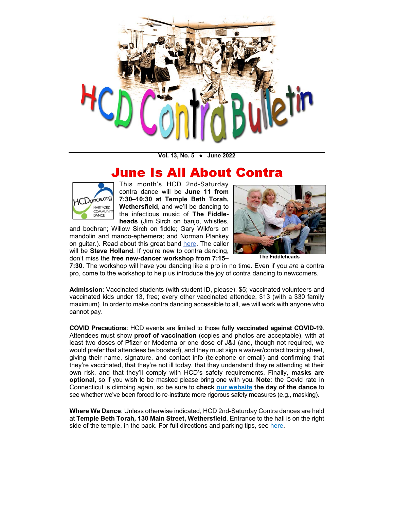

**Vol. 13, No. 5 ● June 2022** 

## June Is All About Contra



This month's HCD 2nd-Saturday contra dance will be **June 11 from 7:30–10:30 at Temple Beth Torah, Wethersfield**, and we'll be dancing to the infectious music of **The Fiddleheads** (Jim Sirch on banjo, whistles,

and bodhran; Willow Sirch on fiddle; Gary Wikfors on mandolin and mando-ephemera; and Norman Plankey on guitar.). Read about this great band [here.](https://www.thefiddleheads.com/) The caller will be **Steve Holland**. If you're new to contra dancing, don't miss the **free new-dancer workshop from 7:15–**



**The Fiddleheads** 

**7:30**. The workshop will have you dancing like a pro in no time. Even if you *are* a contra pro, come to the workshop to help us introduce the joy of contra dancing to newcomers.

**Admission**: Vaccinated students (with student ID, please), \$5; vaccinated volunteers and vaccinated kids under 13, free; every other vaccinated attendee, \$13 (with a \$30 family maximum). In order to make contra dancing accessible to all, we will work with anyone who cannot pay.

**COVID Precautions**: HCD events are limited to those **fully vaccinated against COVID-19**. Attendees must show **proof of vaccination** (copies and photos are acceptable), with at least two doses of Pfizer or Moderna or one dose of J&J (and, though not required, we would prefer that attendees be boosted), and they must sign a waiver/contact tracing sheet, giving their name, signature, and contact info (telephone or email) and confirming that they're vaccinated, that they're not ill today, that they understand they're attending at their own risk, and that they'll comply with HCD's safety requirements. Finally, **masks are optional**, so if you wish to be masked please bring one with you. **Note**: the Covid rate in Connecticut is climbing again, so be sure to **check [our website](http://www.hcdance.org) the day of the dance** to see whether we've been forced to re-institute more rigorous safety measures (e.g., masking).

**Where We Dance**: Unless otherwise indicated, HCD 2nd-Saturday Contra dances are held at **Temple Beth Torah, 130 Main Street, Wethersfield**. Entrance to the hall is on the right side of the temple, in the back. For full directions and parking tips, see [here.](http://www.hcdance.org/temple-beth-torah/)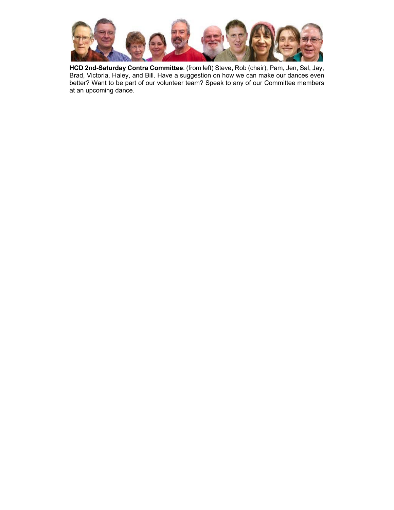

**HCD 2nd-Saturday Contra Committee**: (from left) Steve, Rob (chair), Pam, Jen, Sal, Jay, Brad, Victoria, Haley, and Bill. Have a suggestion on how we can make our dances even better? Want to be part of our volunteer team? Speak to any of our Committee members at an upcoming dance.